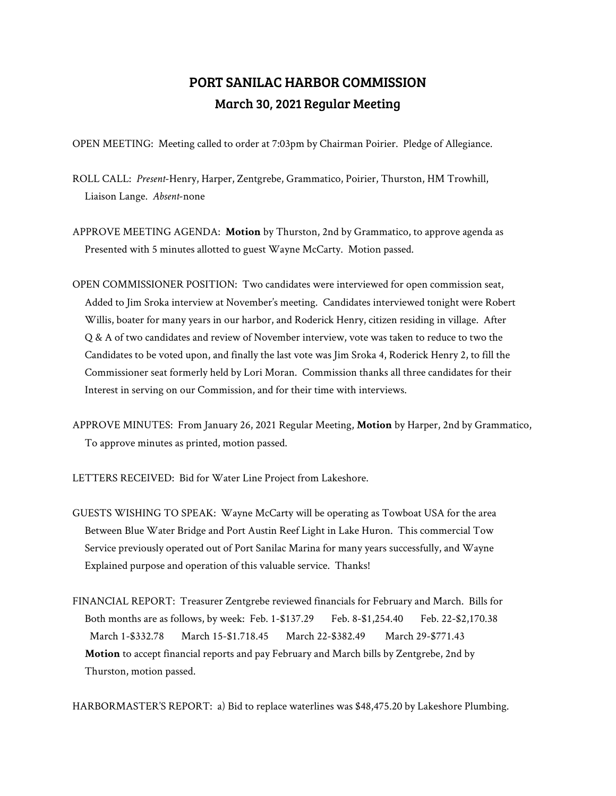## PORT SANILAC HARBOR COMMISSION March 30, 2021 Regular Meeting

OPEN MEETING: Meeting called to order at 7:03pm by Chairman Poirier. Pledge of Allegiance.

- ROLL CALL: *Present*-Henry, Harper, Zentgrebe, Grammatico, Poirier, Thurston, HM Trowhill, Liaison Lange. *Absent*-none
- APPROVE MEETING AGENDA: **Motion** by Thurston, 2nd by Grammatico, to approve agenda as Presented with 5 minutes allotted to guest Wayne McCarty. Motion passed.
- OPEN COMMISSIONER POSITION: Two candidates were interviewed for open commission seat, Added to Jim Sroka interview at November's meeting. Candidates interviewed tonight were Robert Willis, boater for many years in our harbor, and Roderick Henry, citizen residing in village. After Q & A of two candidates and review of November interview, vote was taken to reduce to two the Candidates to be voted upon, and finally the last vote was Jim Sroka 4, Roderick Henry 2, to fill the Commissioner seat formerly held by Lori Moran. Commission thanks all three candidates for their Interest in serving on our Commission, and for their time with interviews.
- APPROVE MINUTES: From January 26, 2021 Regular Meeting, **Motion** by Harper, 2nd by Grammatico, To approve minutes as printed, motion passed.
- LETTERS RECEIVED: Bid for Water Line Project from Lakeshore.
- GUESTS WISHING TO SPEAK: Wayne McCarty will be operating as Towboat USA for the area Between Blue Water Bridge and Port Austin Reef Light in Lake Huron. This commercial Tow Service previously operated out of Port Sanilac Marina for many years successfully, and Wayne Explained purpose and operation of this valuable service. Thanks!
- FINANCIAL REPORT: Treasurer Zentgrebe reviewed financials for February and March. Bills for Both months are as follows, by week: Feb. 1-\$137.29 Feb. 8-\$1,254.40 Feb. 22-\$2,170.38 March 1-\$332.78 March 15-\$1.718.45 March 22-\$382.49 March 29-\$771.43 **Motion** to accept financial reports and pay February and March bills by Zentgrebe, 2nd by Thurston, motion passed.

HARBORMASTER'S REPORT: a) Bid to replace waterlines was \$48,475.20 by Lakeshore Plumbing.